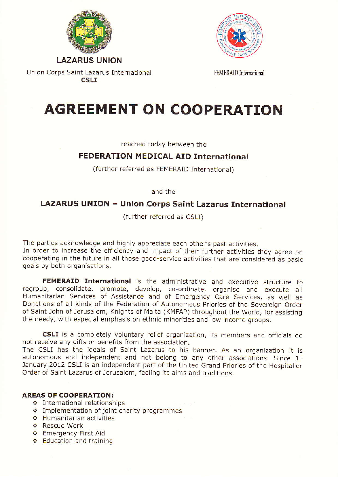

Union Corps Saint Lazarus International **CSLI** 



FEMERAID International

## AGREEMENT ON COOPERATION

reached today between the

## FEDERATION MEDICAL AID International

(further referred as FEMERAID International)

and the

## LAZARUS UNION - Union Corps Saint Lazarus International

(further referred as CSLI)

The parties acknowledge and highly appreciate each other's past activities.

In order to increase the efficiency and impact of their further activities they agree on cooperating in the future in all those good-service activities that are considered as basic goals by both organisations.

FEMERAID International is the administrative and executive structure to regroup, consolidate, promote, develop, co-ordinate, organise and execute all Humanitarian Services of Assistance and of Emergency Care Services, as well as Donations of all kinds of the Federation of Autonomous Priories of the Sovereiqn Order of Saint John of Jerusalem, Knights of Malta (KMFAP) throughout the World, for assisting the needy, with especial emphasis on ethnic minorities and low income groups.

CSLI is a completely voluntary relief organization, its members and officials do not receive any gifts or beneflts from the association.

The CSLI has the ideals of Saint Lazarus to his banner. As an organization it is autonomous and independent and not belong to any other associations. Since 1<sup>st</sup> January 2012 CSLI is an independent part of the United Grand Priories of the Hospitaller Order of Saint Lazarus of Jerusalem, feeling its aims and traditions.

## AREAS OF COOPERATION:<br>  $\div$  International relationships

- 
- \* Implementation of joint charity programmes<br>\* Humanitarian activities<br>\* Rescue Work
- 
- 
- ❖ Emergency First Aid<br>❖ Education and training
-